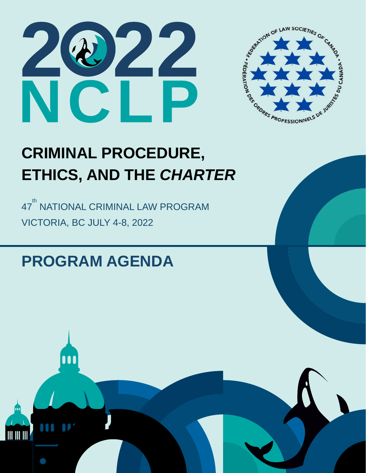



## **CRIMINAL PROCEDURE, ETHICS, AND THE** *CHARTER*

47<sup>th</sup> NATIONAL CRIMINAL LAW PROGRAM VICTORIA, BC JULY 4-8, 2022

## **PROGRAM AGENDA**

m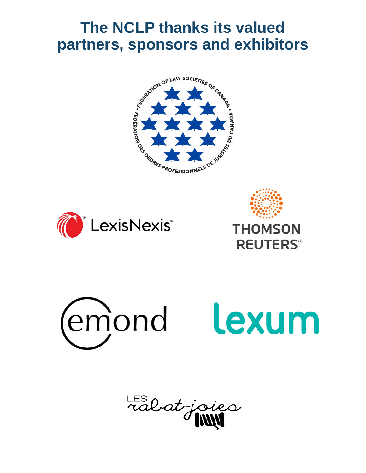## **The NCLP thanks its valued partners, sponsors and exhibitors**









LES lat-joies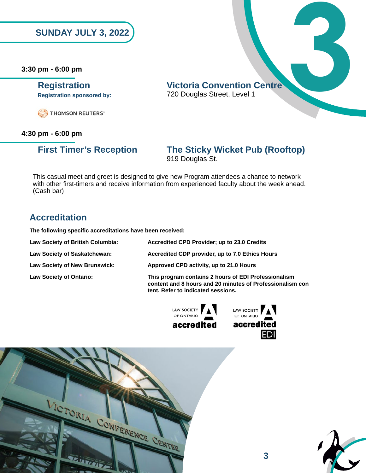**3:30 pm - 6:00 pm**

**SUNDAY JULY 3, 2022**<br> **pm - 6:00 pm**<br> **Registration**<br> **Registration**<br> **Registration**<br> **SPECIES**<br> **PROMISON REUTERS**<br> **CRIPLIONS ON REUTERS Registration Centre Victoria Convention Centre**<br>
Registration sponsored by: <br>
720 Douglas Street, Level 1 720 Douglas Street, Level 1 **Registration sponsored by:**

### **4:30 pm - 6:00 pm**

### **First Timer's Reception The Sticky Wicket Pub (Rooftop)** 919 Douglas St.

This casual meet and greet is designed to give new Program attendees a chance to network with other first-timers and receive information from experienced faculty about the week ahead. (Cash bar)

### **Accreditation**

**The following specific accreditations have been received:**

| Law Society of British Columbia:     | Accredited CPD Provider; up to 23.0 Credits                                                                                                             |
|--------------------------------------|---------------------------------------------------------------------------------------------------------------------------------------------------------|
| Law Society of Saskatchewan:         | Accredited CDP provider, up to 7.0 Ethics Hours                                                                                                         |
| <b>Law Society of New Brunswick:</b> | Approved CPD activity, up to 21.0 Hours                                                                                                                 |
| <b>Law Society of Ontario:</b>       | This program contains 2 hours of EDI Professionalism<br>content and 8 hours and 20 minutes of Professionalism con<br>tent. Refer to indicated sessions. |







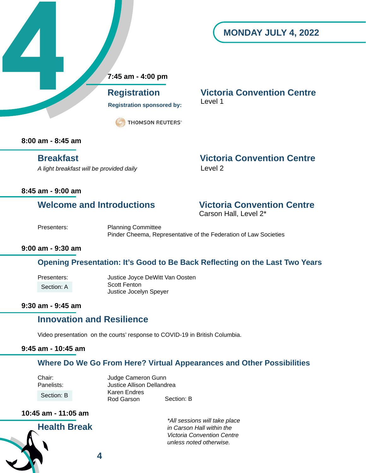### **MONDAY JULY 4, 2022**

 **7:45 am - 4:00 pm**

**Registration sponsored by:** Level 1

**THOMSON REUTERS®** 

 **Registration Victoria Convention Centre**

**8:00 am - 8:45 am**

**4**

A light breakfast will be provided daily **Level 2** 

**Breakfast Victoria Convention Centre**

### **8:45 am - 9:00 am**

## **Welcome and Introductions Victoria Convention Centre<br>Carson Hall, Level 2\***

Presenters: Planning Committee Pinder Cheema, Representative of the Federation of Law Societies

### **9:00 am - 9:30 am**

### **Opening Presentation: It's Good to Be Back Reflecting on the Last Two Years**

Presenters: Justice Joyce DeWitt Van Oosten Scott Fenton Justice Jocelyn Speyer Section: A

### **9:30 am - 9:45 am**

### **Innovation and Resilience**

 Video presentation on the courts' response to COVID-19 in British Columbia.

### **9:45 am - 10:45 am**

### **Where Do We Go From Here? Virtual Appearances and Other Possibilities**

Chair: Judge Cameron Gunn<br>
Panelists: Justice Allison Delland **Justice Allison Dellandrea** Section: B Karen Endres Section: B Rod Garson Section: B

### **10:45 am - 11:05 am**

**Health Break**

*\*All sessions will take place in Carson Hall within the Victoria Convention Centre unless noted otherwise.*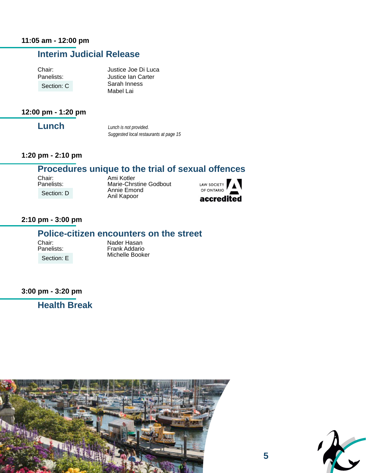### **Interim Judicial Release**

Chair: Justice Joe Di Luca<br>Panelists: Justice Ian Carter Justice Ian Carter Section: C Sarah Inness Mabel Lai

### **12:00 pm - 1:20 pm**

**Lunch**

*Lunch is not provided. Suggested local restaurants at page 15*

### **1:20 pm - 2:10 pm**

### **Procedures unique to the trial of sexual offences**

Chair: Ami Kotler<br>
Panelists: Marie-Chrs Section: D

Marie-Chrstine Godbout Annie Emond Anil Kapoor



### **2:10 pm - 3:00 pm**

### **Police-citizen encounters on the street**

Section: E

Chair: Nader Hasan<br>
Panelists: Frank Addaric Frank Addario Michelle Booker

**3:00 pm - 3:20 pm**

**Health Break**



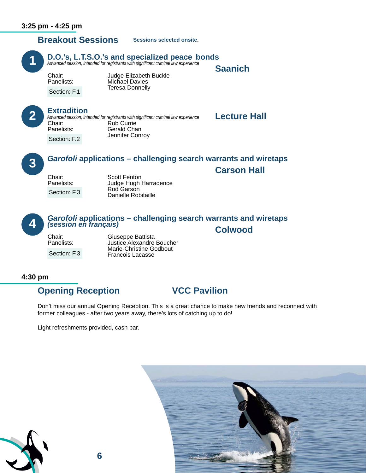**1**

**2**

**3**

**4**

## **Breakout Sessions**

**Sessions selected onsite.**

## **1** D.O.'s, L.T.S.O.'s and specialized peace bonds *Advanced session, intended for registrants with significant criminal law experience*

**Saanich**<br>Chair: Judge Elizabeth Buckle<br>Panelists: Michael Davies **Teresa Donnelly** 

Section: F.1

**Extradition**<br>
Advanced session, intended for registrants with significant criminal law experience<br>
Rob Currie<br>
Rob Currie Panelists: Gerald Chan Jennifer Conroy *Advanced session, intended for registrants with significant criminal law experience* Section: F.2

## *Garofoli* **applications – challenging search warrants and wiretaps Carson Hall** Chair: Scott Fenton

Section: F.3

 Panelists: Judge Hugh Harradence Rod Garson Danielle Robitaille

# *Garofoli* **applications – challenging search warrants and wiretaps (session en français)<br>
Colwood<br>
Chair: Giuseppe Battista<br>
Panelists: Justice Alexandre Boucher**

Section: F.3

Justice Alexandre Boucher Marie-Christine Godbout Francois Lacasse

### **4:30 pm**

### **Opening Reception 6 VCC Pavilion**

Don't miss our annual Opening Reception. This is a great chance to make new friends and reconnect with former colleagues - after two years away, there's lots of catching up to do!

Light refreshments provided, cash bar.



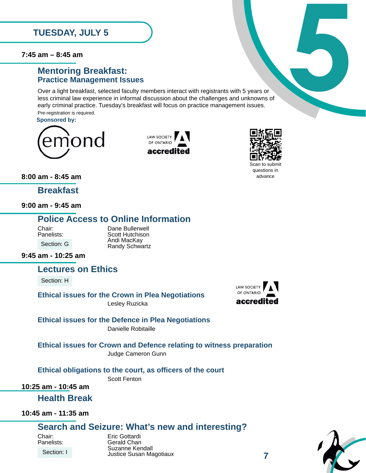**7:45 am – 8:45 am**

### **Mentoring Breakfast: Practice Management Issues**

Over a light breakfast, selected faculty members interact with registrants with 5 years or less criminal law experience in informal discussion about the challenges and unknowns of early criminal practice. Tuesday's breakfast will focus on practice management issues. Pre-registration is required. **5 am** – 8:45 **am**<br> **Mentoring Breakfast:**<br> **Practice Management Issues**<br>
Over a light breakfast, selected faculty members interact with registrants with 5 years or<br>
less criminal law experience in informal discussion ab

**Sponsored by:**







**8:00 am - 8:45 am**

**Breakfast**

**9:00 am - 9:45 am**

### **Police Access to Online Information**

Section: G

Chair: Dane Bullerwell<br>
Panelists: Scott Hutchison Andi MacKay<br>Randy Schwartz

**9:45 am - 10:25 am**

**Lectures on Ethics**

Section: H

**Ethical issues for the Crown in Plea Negotiations**

Lesley Ruzicka

### **Ethical issues for the Defence in Plea Negotiations** Danielle Robitaille

**Ethical issues for Crown and Defence relating to witness preparation** Judge Cameron Gunn

**Ethical obligations to the court, as officers of the court**

Scott Fenton

**10:25 am - 10:45 am**

**Health Break**

**10:45 am - 11:35 am**

### **Search and Seizure: What's new and interesting?**

Section: I

Chair: Eric Gottardi **Gerald Chan**  Suzanne Kendall Justice Susan Magotiaux



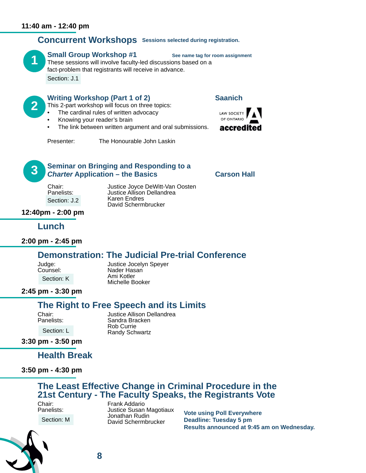### **Concurrent Workshops Sessions selected during registration.**

**1**

**2**

### **Small Group Workshop #1** See name tag for room assignment

These sessions will involve faculty-led discussions based on a fact-problem that registrants will receive in advance. Section: J.1

### **Writing Workshop (Part 1 of 2) Saanich**

This 2-part workshop will focus on three topics:

- The cardinal rules of written advocacy
- Knowing your reader's brain
- The link between written argument and oral submissions.



Presenter: The Honourable John Laskin



### **Seminar on Bringing and Responding to a Charter Application – the Basics Carson Hall<br>Chair: Chair: Justice Joyce DeWitt-Van Oosten**

Section: J.2

Chair: Justice Joyce DeWitt-Van Oosten<br>
Panelists: Justice Allison Dellandrea Justice Allison Dellandrea<br>Karen Endres<br>David Schermbrucker

### **12:40pm - 2:00 pm**

### **Lunch**

**2:00 pm - 2:45 pm**

### **Demonstration: The Judicial Pre-trial Conference**

Section: K

Judge: Justice Jocelyn Speyer<br>
Counsel: Counsel Nader Hasan Ami Kotler<br>Michelle Booker

### **2:45 pm - 3:30 pm**

### **The Right to Free Speech and its Limits**

Section: L

Chair: Justice Allison Dellandrea<br>
Panelists: Sandra Bracken Sandra Bracken Rob Currie Randy Schwartz

**3:30 pm - 3:50 pm**

**Health Break**

**3:50 pm - 4:30 pm**

## **The Least Effective Change in Criminal Procedure in the 21st Century - The Faculty Speaks, the Registrants Vote**

Chair: Frank Addario<br>
Panelists: Justice Susan Section: M



**Justice Susan Magotiaux**  Jonathan Rudin David Schermbrucker

**Vote using Poll Everywhere Deadline: Tuesday 5 pm Results announced at 9:45 am on Wednesday.**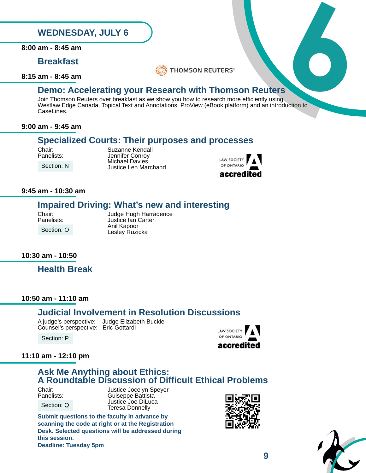**8:00 am - 8:45 am**

### **Breakfast**

**8:15 am - 8:45 am**



### **Demo: Accelerating your Research with Thomson Reuters**

Join Thomson Reuters over breakfast as we show you how to research more efficiently using Westlaw Edge Canada, Topical Text and Annotations, ProView (eBook platform) and an introduction to CaseLines. **EXECUTE STAY, JULY 6**<br> **EXECUTE STAND BY A STAND SON REUTERS**<br> **EXECUTE AND DEVICE AND SON RELATED SONG A STAND SONG STAND SONG A STAND SONG A SURFERS**<br>
Join Thomson Reuters over breakfast as we show you how to research m

### **9:00 am - 9:45 am**

### **Specialized Courts: Their purposes and processes**

Chair: Suzanne Kendall<br>
Panelists: Sennifer Conrov Jennifer Conroy Michael Davies Justice Len Marchand



### **9:45 am - 10:30 am**

Section: N

### **Impaired Driving: What's new and interesting**

Section: O

Chair: Judge Hugh Harradence<br>
Panelists: Justice Ian Carter Justice Ian Carter Anil Kapoor Lesley Ruzicka

### **10:30 am - 10:50**

**Health Break**

### **10:50 am - 11:10 am**

### **Judicial Involvement in Resolution Discussions**

 Counsel's perspective: Eric Gottardi

A judge's perspective: Judge Elizabeth Buckle

Section: P

### **LAW SOCIETY** OF ONTARIO accredited

### **11:10 am - 12:10 pm**

### **Ask Me Anything about Ethics: A Roundtable Discussion of Difficult Ethical Problems**

Section: Q

Chair: Justice Jocelyn Speyer<br>Panelists: Guiseppe Battista **Guiseppe Battista**  Justice Joe DiLuca Teresa Donnelly

**Submit questions to the faculty in advance by scanning the code at right or at the Registration Desk. Selected questions will be addressed during this session. Deadline: Tuesday 5pm**



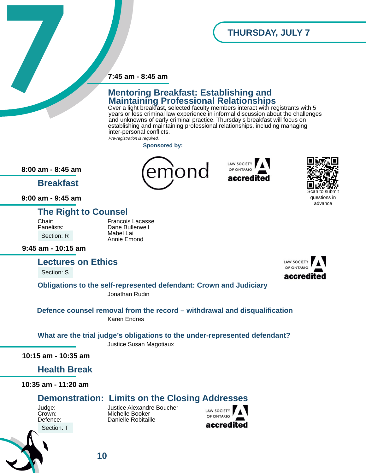### **7:45 am - 8:45 am**

# **7.45 am - 8.45 am<br>
Mentoring Breakfast: Establishing and<br>
Maintaining Professional Relationships<br>
over a light breakfast, selected faculty members inneration white registrants with<br>
years or less criminal law experience i Mentoring Breakfast: Establishing and Maintaining Professional Relationships**

nond

Over a light breakfast, selected faculty members interact with registrants with 5 years or less criminal law experience in informal discussion about the challenges and unknowns of early criminal practice. Thursday's breakfast will focus on establishing and maintaining professional relationships, including managing inter-personal conflicts. *Pre-registration is required.*

**LAW SOCIETY** 

OF ONTARIO accred

**Sponsored by:**

**8:00 am - 8:45 am**

**Breakfast**

**9:00 am - 9:45 am**

### **The Right to Counsel**

 Mabel Lai Section: R

Chair: Francois Lacasse Dane Bullerwell<br>Mabel Lai Annie Emond

**9:45 am - 10:15 am**

### **Lectures on Ethics**

Section: S



Scan to submit questions in advance

**Obligations to the self-represented defendant: Crown and Judiciary** Jonathan Rudin

**Defence counsel removal from the record – withdrawal and disqualification** Karen Endres

**What are the trial judge's obligations to the under-represented defendant?**

Justice Susan Magotiaux

**10:15 am - 10:35 am**

**Health Break**

**10:35 am - 11:20 am**

### **Demonstration: Limits on the Closing Addresses**

Section: T



Judge: Justice Alexandre Boucher Crown: Michelle Booker<br>
Defence: Defence: Danielle Robitail Danielle Robitaille

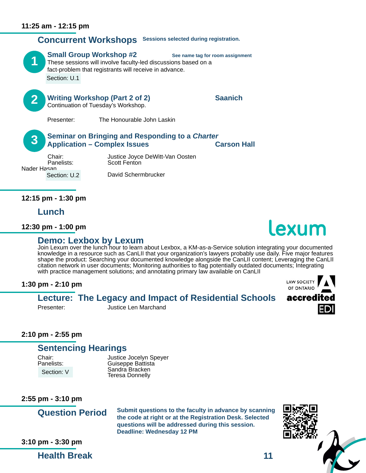

**Application – Complex Issues Carson Hall<br>Chair:** Justice Joyce DeWitt-Van Oosten

Nader Hasan Section: U.2

Chair: Justice Joyce DeWitt-Van Oosten <br>Panelists: Scott Fenton David Schermbrucker 

**12:15 pm - 1:30 pm**

**Lunch**

**12:30 pm - 1:00 pm**

**Demo: Lexbox by Lexum**<br>Join Lexum over the lunch hour to learn about Lexbox, a KM-as-a-Service solution integrating your documented knowledge in a resource such as CanLII that your organization's lawyers probably use daily. Five major features shape the product: Searching your documented knowledge alongside the CanLII content; Leveraging the CanLII citation network in user documents; Monitoring authorities to flag potentially outdated documents; Integrating with practice management solutions; and annotating primary law available on CanLII

### **1:30 pm - 2:10 pm**

### **Lecture: The Legacy and Impact of Residential Schools**



Presenter: Justice Len Marchand

### **2:10 pm - 2:55 pm**

### **Sentencing Hearings**

Section: V

Chair: **Justice Jocelyn Speyer**<br>
Panelists: Guiseppe Battista **Guiseppe Battista**  Sandra Bracken Teresa Donnelly

**2:55 pm - 3:10 pm**

**Question Period**

**Submit questions to the faculty in advance by scanning the code at right or at the Registration Desk. Selected questions will be addressed during this session. Deadline: Wednesday 12 PM**



**3:10 pm - 3:30 pm**

**Health Break**

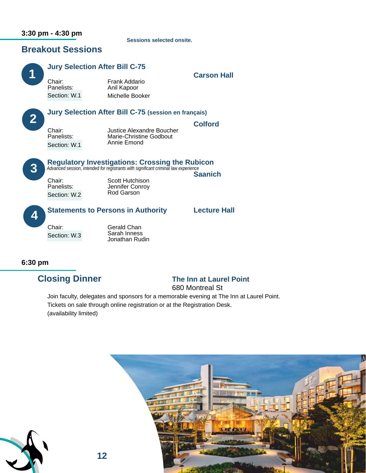### **3:30 pm - 4:30 pm**

**Sessions selected onsite.**

### **Breakout Sessions**

### **Jury Selection After Bill C-75 Carson Hall** Chair: Frank Addario **Carson Hall** Chair: Frank Addario **Panelists:**  Michelle Booker  **Jury Selection After Bill C-75 (session en français) Colford**<br>
Chair: Justice Alexandre Boucher<br>
Panelists: Marie-Christine Godbout Marie-Christine Godbout<br>Annie Emond Annie Emond Section: W.1 **Regulatory Investigations: Crossing the Rubicon** *Advanced session, intended for registrants with significant criminal law experience* **Chair:** Scott Hutchison Panelists: Jennifer Conroy<br>Costion: W.2 Rod Garson  **Statements to Persons in Authority Lecture Hall** Chair: Gerald Chan Sarah Inness Jonathan Rudin **1 2 3 4** Section: W.1 Section: W.2 Section: W.3

### **6:30 pm**

### **Closing Dinner The Inn at Laurel Point**

680 Montreal St

 Join faculty, delegates and sponsors for a memorable evening at The Inn at Laurel Point. Tickets on sale through online registration or at the Registration Desk. (availability limited)